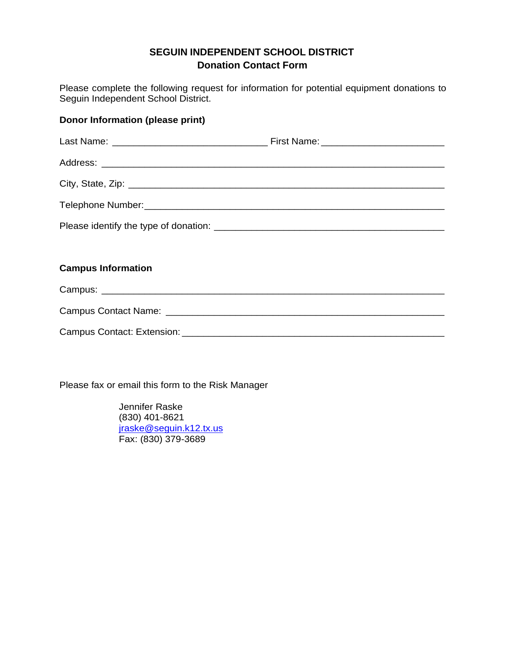## **SEGUIN INDEPENDENT SCHOOL DISTRICT Donation Contact Form**

Please complete the following request for information for potential equipment donations to Seguin Independent School District.

| <b>Donor Information (please print)</b> |  |
|-----------------------------------------|--|
|                                         |  |
|                                         |  |
|                                         |  |
|                                         |  |
|                                         |  |
|                                         |  |
| <b>Campus Information</b>               |  |
|                                         |  |
|                                         |  |
|                                         |  |

Please fax or email this form to the Risk Manager

Jennifer Raske (830) 401-8621 [jraske@seguin.k12.tx.us](mailto:jraske@seguin.k12.tx.us) Fax: (830) 379-3689